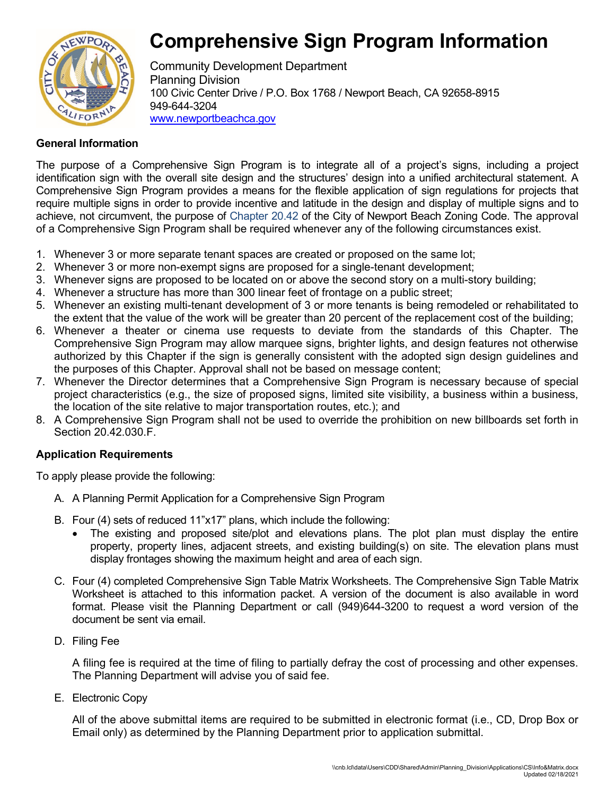# **Comprehensive Sign Program Information**



Community Development Department Planning Division 100 Civic Center Drive / P.O. Box 1768 / Newport Beach, CA 92658-8915 949-644-3204 [www.newportbeachca.gov](http://www.newportbeachca.gov/)

#### **General Information**

The purpose of a Comprehensive Sign Program is to integrate all of a project's signs, including a project identification sign with the overall site design and the structures' design into a unified architectural statement. A Comprehensive Sign Program provides a means for the flexible application of sign regulations for projects that require multiple signs in order to provide incentive and latitude in the design and display of multiple signs and to achieve, not circumvent, the purpose of Chapter 20.42 of the City of Newport Beach Zoning Code. The approval of a Comprehensive Sign Program shall be required whenever any of the following circumstances exist.

- 1. Whenever 3 or more separate tenant spaces are created or proposed on the same lot;
- 2. Whenever 3 or more non-exempt signs are proposed for a single-tenant development;
- 3. Whenever signs are proposed to be located on or above the second story on a multi-story building;
- 4. Whenever a structure has more than 300 linear feet of frontage on a public street;
- 5. Whenever an existing multi-tenant development of 3 or more tenants is being remodeled or rehabilitated to the extent that the value of the work will be greater than 20 percent of the replacement cost of the building;
- 6. Whenever a theater or cinema use requests to deviate from the standards of this Chapter. The Comprehensive Sign Program may allow marquee signs, brighter lights, and design features not otherwise authorized by this Chapter if the sign is generally consistent with the adopted sign design guidelines and the purposes of this Chapter. Approval shall not be based on message content;
- 7. Whenever the Director determines that a Comprehensive Sign Program is necessary because of special project characteristics (e.g., the size of proposed signs, limited site visibility, a business within a business, the location of the site relative to major transportation routes, etc.); and
- 8. A Comprehensive Sign Program shall not be used to override the prohibition on new billboards set forth in Section 20.42.030.F.

### **Application Requirements**

To apply please provide the following:

- A. A Planning Permit Application for a Comprehensive Sign Program
- B. Four (4) sets of reduced 11"x17" plans, which include the following:
	- The existing and proposed site/plot and elevations plans. The plot plan must display the entire property, property lines, adjacent streets, and existing building(s) on site. The elevation plans must display frontages showing the maximum height and area of each sign.
- C. Four (4) completed Comprehensive Sign Table Matrix Worksheets. The Comprehensive Sign Table Matrix Worksheet is attached to this information packet. A version of the document is also available in word format. Please visit the Planning Department or call (949)644-3200 to request a word version of the document be sent via email.
- D. Filing Fee

A filing fee is required at the time of filing to partially defray the cost of processing and other expenses. The Planning Department will advise you of said fee.

E. Electronic Copy

All of the above submittal items are required to be submitted in electronic format (i.e., CD, Drop Box or Email only) as determined by the Planning Department prior to application submittal.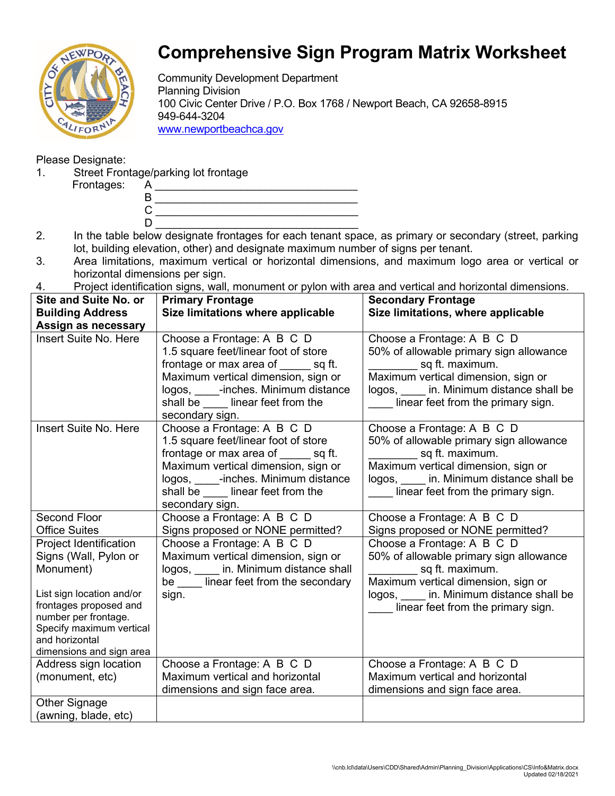

## **Comprehensive Sign Program Matrix Worksheet**

Community Development Department Planning Division 100 Civic Center Drive / P.O. Box 1768 / Newport Beach, CA 92658-8915 949-644-3204 [www.newportbeachca.gov](http://www.newportbeachca.gov/)

### Please Designate:

1. Street Frontage/parking lot frontage

Frontages:

- 2. In the table below designate frontages for each tenant space, as primary or secondary (street, parking lot, building elevation, other) and designate maximum number of signs per tenant.
- 3. Area limitations, maximum vertical or horizontal dimensions, and maximum logo area or vertical or horizontal dimensions per sign.
- 4. Project identification signs, wall, monument or pylon with area and vertical and horizontal dimensions.

| <b>Site and Suite No. or</b>               | <b>Primary Frontage</b>                                                      | <b>Secondary Frontage</b>                                                   |
|--------------------------------------------|------------------------------------------------------------------------------|-----------------------------------------------------------------------------|
| <b>Building Address</b>                    | Size limitations where applicable                                            | Size limitations, where applicable                                          |
| Assign as necessary                        |                                                                              |                                                                             |
| <b>Insert Suite No. Here</b>               | Choose a Frontage: A B C D                                                   | Choose a Frontage: A B C D                                                  |
|                                            | 1.5 square feet/linear foot of store                                         | 50% of allowable primary sign allowance                                     |
|                                            | frontage or max area of sq ft.                                               | sq ft. maximum.                                                             |
|                                            | Maximum vertical dimension, sign or                                          | Maximum vertical dimension, sign or                                         |
|                                            | logos, _____-inches. Minimum distance                                        | logos, in. Minimum distance shall be                                        |
|                                            | shall be _____ linear feet from the                                          | linear feet from the primary sign.                                          |
|                                            | secondary sign.                                                              |                                                                             |
| Insert Suite No. Here                      | Choose a Frontage: A B C D                                                   | Choose a Frontage: A B C D                                                  |
|                                            | 1.5 square feet/linear foot of store                                         | 50% of allowable primary sign allowance                                     |
|                                            | frontage or max area of sq ft.                                               | sq ft. maximum.                                                             |
|                                            | Maximum vertical dimension, sign or<br>logos, _____-inches. Minimum distance | Maximum vertical dimension, sign or<br>logos, in. Minimum distance shall be |
|                                            | shall be _____ linear feet from the                                          | linear feet from the primary sign.                                          |
|                                            | secondary sign.                                                              |                                                                             |
| <b>Second Floor</b>                        | Choose a Frontage: A B C D                                                   | Choose a Frontage: A B C D                                                  |
| <b>Office Suites</b>                       | Signs proposed or NONE permitted?                                            | Signs proposed or NONE permitted?                                           |
| Project Identification                     | Choose a Frontage: A B C D                                                   | Choose a Frontage: A B C D                                                  |
| Signs (Wall, Pylon or                      | Maximum vertical dimension, sign or                                          | 50% of allowable primary sign allowance                                     |
| Monument)                                  | logos, _____ in. Minimum distance shall                                      | sq ft. maximum.                                                             |
|                                            | be ____ linear feet from the secondary                                       | Maximum vertical dimension, sign or                                         |
| List sign location and/or                  | sign.                                                                        | logos, in. Minimum distance shall be                                        |
| frontages proposed and                     |                                                                              | linear feet from the primary sign.                                          |
| number per frontage.                       |                                                                              |                                                                             |
| Specify maximum vertical<br>and horizontal |                                                                              |                                                                             |
| dimensions and sign area                   |                                                                              |                                                                             |
| Address sign location                      | Choose a Frontage: A B C D                                                   | Choose a Frontage: A B C D                                                  |
| (monument, etc)                            | Maximum vertical and horizontal                                              | Maximum vertical and horizontal                                             |
|                                            | dimensions and sign face area.                                               | dimensions and sign face area.                                              |
| Other Signage                              |                                                                              |                                                                             |
| (awning, blade, etc)                       |                                                                              |                                                                             |